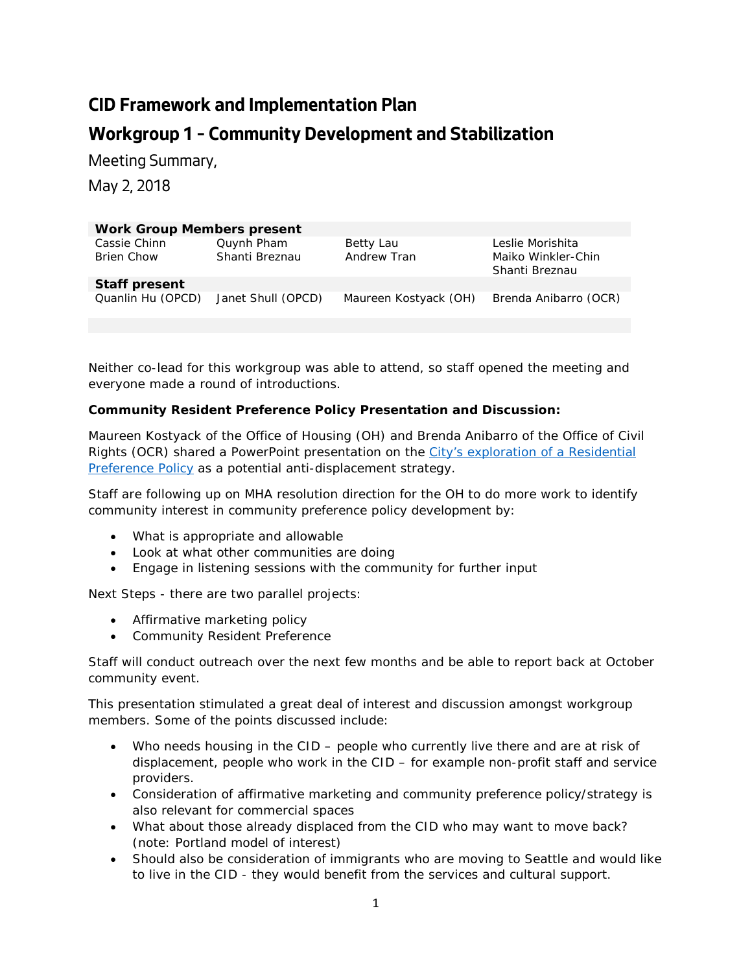## **CID Framework and Implementation Plan Workgroup 1 – Community Development and Stabilization**

Meeting Summary,

May 2, 2018

| <b>Work Group Members present</b> |                              |                          |                                                          |
|-----------------------------------|------------------------------|--------------------------|----------------------------------------------------------|
| Cassie Chinn<br><b>Brien Chow</b> | Quynh Pham<br>Shanti Breznau | Betty Lau<br>Andrew Tran | Leslie Morishita<br>Maiko Winkler-Chin<br>Shanti Breznau |
| <b>Staff present</b>              |                              |                          |                                                          |
| Quanlin Hu (OPCD)                 | Janet Shull (OPCD)           | Maureen Kostyack (OH)    | Brenda Anibarro (OCR)                                    |

Neither co-lead for this workgroup was able to attend, so staff opened the meeting and everyone made a round of introductions.

## **Community Resident Preference Policy Presentation and Discussion:**

Maureen Kostyack of the Office of Housing (OH) and Brenda Anibarro of the Office of Civil Rights (OCR) shared a PowerPoint presentation on the City's exploration of a Residential Preference Policy as a potential anti-displacement strategy.

Staff are following up on MHA resolution direction for the OH to do more work to identify community interest in community preference policy development by:

- What is appropriate and allowable
- Look at what other communities are doing
- Engage in listening sessions with the community for further input

Next Steps - there are two parallel projects:

- Affirmative marketing policy
- Community Resident Preference

Staff will conduct outreach over the next few months and be able to report back at October community event.

This presentation stimulated a great deal of interest and discussion amongst workgroup members. Some of the points discussed include:

- Who needs housing in the CID people who currently live there and are at risk of displacement, people who work in the CID – for example non-profit staff and service providers.
- Consideration of affirmative marketing and community preference policy/strategy is also relevant for commercial spaces
- What about those already displaced from the CID who may want to move back? (note: Portland model of interest)
- Should also be consideration of immigrants who are moving to Seattle and would like to live in the CID - they would benefit from the services and cultural support.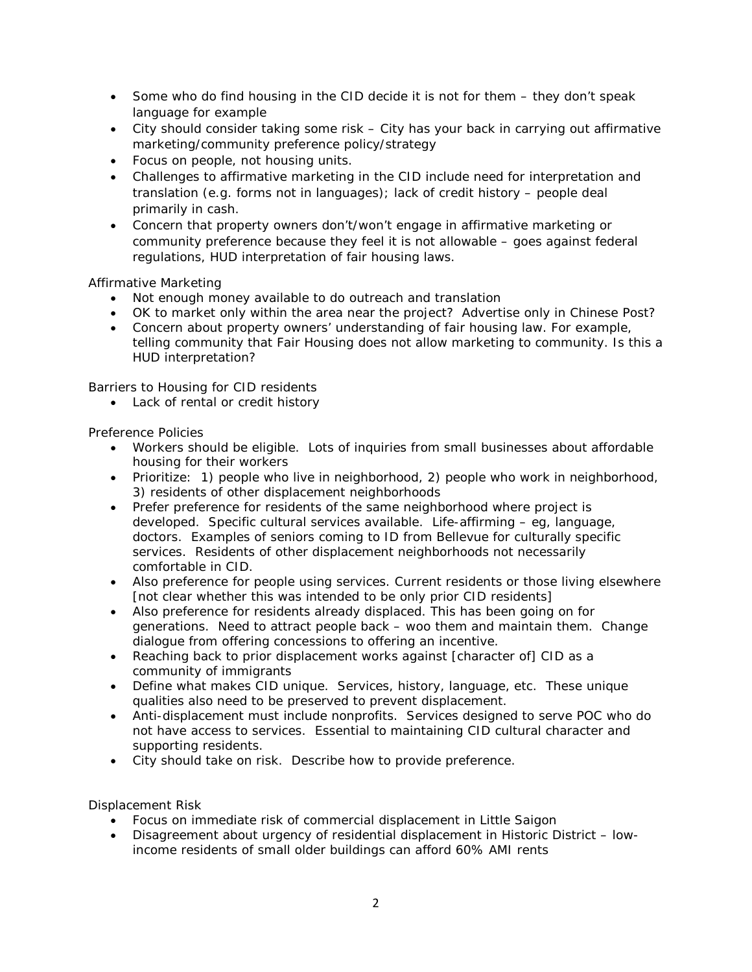- Some who do find housing in the CID decide it is not for them they don't speak language for example
- City should consider taking some risk City has your back in carrying out affirmative marketing/community preference policy/strategy
- Focus on people, not housing units.
- Challenges to affirmative marketing in the CID include need for interpretation and translation (e.g. forms not in languages); lack of credit history – people deal primarily in cash.
- Concern that property owners don't/won't engage in affirmative marketing or community preference because they feel it is not allowable – goes against federal regulations, HUD interpretation of fair housing laws.

Affirmative Marketing

- Not enough money available to do outreach and translation
- OK to market only within the area near the project? Advertise only in Chinese Post?
- Concern about property owners' understanding of fair housing law. For example, telling community that Fair Housing does not allow marketing to community. Is this a HUD interpretation?

Barriers to Housing for CID residents

• Lack of rental or credit history

Preference Policies

- Workers should be eligible. Lots of inquiries from small businesses about affordable housing for their workers
- Prioritize: 1) people who live in neighborhood, 2) people who work in neighborhood, 3) residents of other displacement neighborhoods
- Prefer preference for residents of the same neighborhood where project is developed. Specific cultural services available. Life-affirming – eg, language, doctors. Examples of seniors coming to ID from Bellevue for culturally specific services. Residents of other displacement neighborhoods not necessarily comfortable in CID.
- Also preference for people using services. Current residents or those living elsewhere *[not clear whether this was intended to be only prior CID residents]*
- Also preference for residents already displaced. This has been going on for generations. Need to attract people back – woo them and maintain them. Change dialogue from offering concessions to offering an incentive.
- Reaching back to prior displacement works against [character of] CID as a community of immigrants
- Define what makes CID unique. Services, history, language, etc. These unique qualities also need to be preserved to prevent displacement.
- Anti-displacement must include nonprofits. Services designed to serve POC who do not have access to services. Essential to maintaining CID cultural character and supporting residents.
- City should take on risk. Describe how to provide preference.

Displacement Risk

- Focus on immediate risk of commercial displacement in Little Saigon
- Disagreement about urgency of residential displacement in Historic District lowincome residents of small older buildings can afford 60% AMI rents